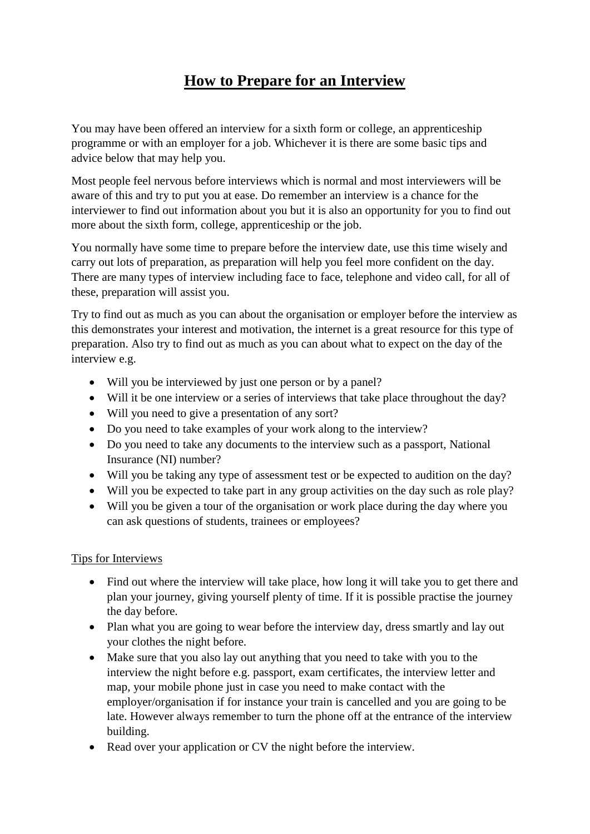# **How to Prepare for an Interview**

You may have been offered an interview for a sixth form or college, an apprenticeship programme or with an employer for a job. Whichever it is there are some basic tips and advice below that may help you.

Most people feel nervous before interviews which is normal and most interviewers will be aware of this and try to put you at ease. Do remember an interview is a chance for the interviewer to find out information about you but it is also an opportunity for you to find out more about the sixth form, college, apprenticeship or the job.

You normally have some time to prepare before the interview date, use this time wisely and carry out lots of preparation, as preparation will help you feel more confident on the day. There are many types of interview including face to face, telephone and video call, for all of these, preparation will assist you.

Try to find out as much as you can about the organisation or employer before the interview as this demonstrates your interest and motivation, the internet is a great resource for this type of preparation. Also try to find out as much as you can about what to expect on the day of the interview e.g.

- Will you be interviewed by just one person or by a panel?
- Will it be one interview or a series of interviews that take place throughout the day?
- Will you need to give a presentation of any sort?
- Do you need to take examples of your work along to the interview?
- Do you need to take any documents to the interview such as a passport, National Insurance (NI) number?
- Will you be taking any type of assessment test or be expected to audition on the day?
- Will you be expected to take part in any group activities on the day such as role play?
- Will you be given a tour of the organisation or work place during the day where you can ask questions of students, trainees or employees?

#### Tips for Interviews

- Find out where the interview will take place, how long it will take you to get there and plan your journey, giving yourself plenty of time. If it is possible practise the journey the day before.
- Plan what you are going to wear before the interview day, dress smartly and lay out your clothes the night before.
- Make sure that you also lay out anything that you need to take with you to the interview the night before e.g. passport, exam certificates, the interview letter and map, your mobile phone just in case you need to make contact with the employer/organisation if for instance your train is cancelled and you are going to be late. However always remember to turn the phone off at the entrance of the interview building.
- Read over your application or CV the night before the interview.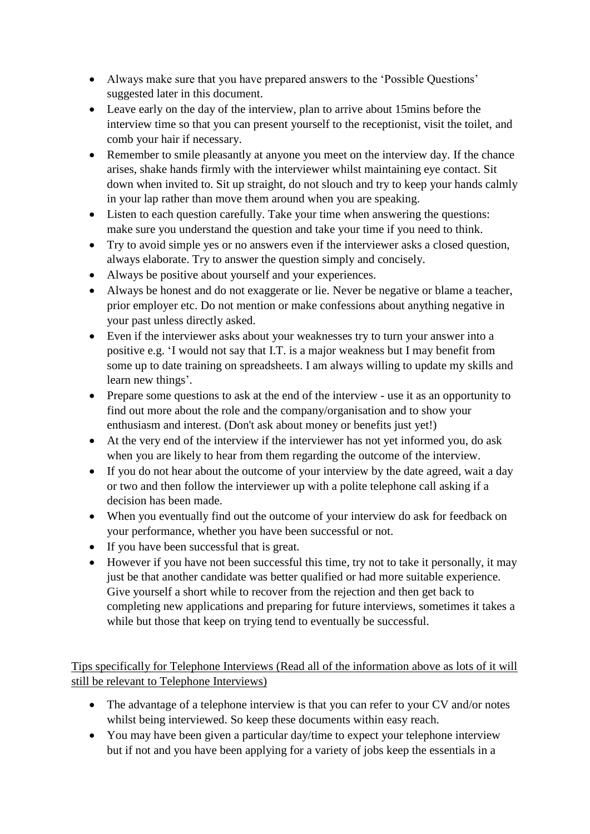- Always make sure that you have prepared answers to the 'Possible Questions' suggested later in this document.
- Leave early on the day of the interview, plan to arrive about 15mins before the interview time so that you can present yourself to the receptionist, visit the toilet, and comb your hair if necessary.
- Remember to smile pleasantly at anyone you meet on the interview day. If the chance arises, shake hands firmly with the interviewer whilst maintaining eye contact. Sit down when invited to. Sit up straight, do not slouch and try to keep your hands calmly in your lap rather than move them around when you are speaking.
- Listen to each question carefully. Take your time when answering the questions: make sure you understand the question and take your time if you need to think.
- Try to avoid simple yes or no answers even if the interviewer asks a closed question, always elaborate. Try to answer the question simply and concisely.
- Always be positive about yourself and your experiences.
- Always be honest and do not exaggerate or lie. Never be negative or blame a teacher, prior employer etc. Do not mention or make confessions about anything negative in your past unless directly asked.
- Even if the interviewer asks about your weaknesses try to turn your answer into a positive e.g. 'I would not say that I.T. is a major weakness but I may benefit from some up to date training on spreadsheets. I am always willing to update my skills and learn new things'.
- Prepare some questions to ask at the end of the interview use it as an opportunity to find out more about the role and the company/organisation and to show your enthusiasm and interest. (Don't ask about money or benefits just yet!)
- At the very end of the interview if the interviewer has not yet informed you, do ask when you are likely to hear from them regarding the outcome of the interview.
- If you do not hear about the outcome of your interview by the date agreed, wait a day or two and then follow the interviewer up with a polite telephone call asking if a decision has been made.
- When you eventually find out the outcome of your interview do ask for feedback on your performance, whether you have been successful or not.
- If you have been successful that is great.
- However if you have not been successful this time, try not to take it personally, it may just be that another candidate was better qualified or had more suitable experience. Give yourself a short while to recover from the rejection and then get back to completing new applications and preparing for future interviews, sometimes it takes a while but those that keep on trying tend to eventually be successful.

Tips specifically for Telephone Interviews (Read all of the information above as lots of it will still be relevant to Telephone Interviews)

- The advantage of a telephone interview is that you can refer to your CV and/or notes whilst being interviewed. So keep these documents within easy reach.
- You may have been given a particular day/time to expect your telephone interview but if not and you have been applying for a variety of jobs keep the essentials in a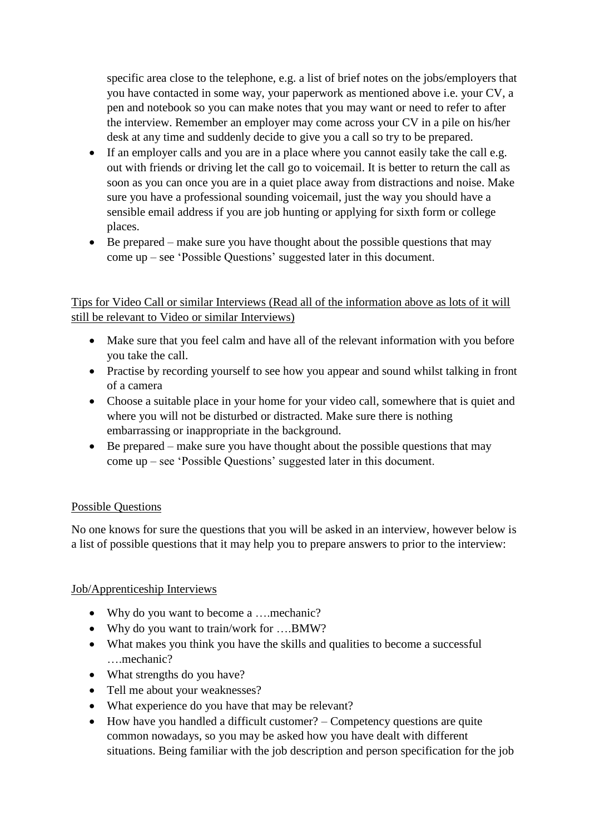specific area close to the telephone, e.g. a list of brief notes on the jobs/employers that you have contacted in some way, your paperwork as mentioned above i.e. your CV, a pen and notebook so you can make notes that you may want or need to refer to after the interview. Remember an employer may come across your CV in a pile on his/her desk at any time and suddenly decide to give you a call so try to be prepared.

- If an employer calls and you are in a place where you cannot easily take the call e.g. out with friends or driving let the call go to voicemail. It is better to return the call as soon as you can once you are in a quiet place away from distractions and noise. Make sure you have a professional sounding voicemail, just the way you should have a sensible email address if you are job hunting or applying for sixth form or college places.
- $\bullet$  Be prepared make sure you have thought about the possible questions that may come up – see 'Possible Questions' suggested later in this document.

#### Tips for Video Call or similar Interviews (Read all of the information above as lots of it will still be relevant to Video or similar Interviews)

- Make sure that you feel calm and have all of the relevant information with you before you take the call.
- Practise by recording yourself to see how you appear and sound whilst talking in front of a camera
- Choose a suitable place in your home for your video call, somewhere that is quiet and where you will not be disturbed or distracted. Make sure there is nothing embarrassing or inappropriate in the background.
- $\bullet$  Be prepared make sure you have thought about the possible questions that may come up – see 'Possible Questions' suggested later in this document.

## Possible Questions

No one knows for sure the questions that you will be asked in an interview, however below is a list of possible questions that it may help you to prepare answers to prior to the interview:

## Job/Apprenticeship Interviews

- Why do you want to become a ….mechanic?
- Why do you want to train/work for ....BMW?
- What makes you think you have the skills and qualities to become a successful ….mechanic?
- What strengths do you have?
- Tell me about your weaknesses?
- What experience do you have that may be relevant?
- How have you handled a difficult customer? Competency questions are quite common nowadays, so you may be asked how you have dealt with different situations. Being familiar with the job description and person specification for the job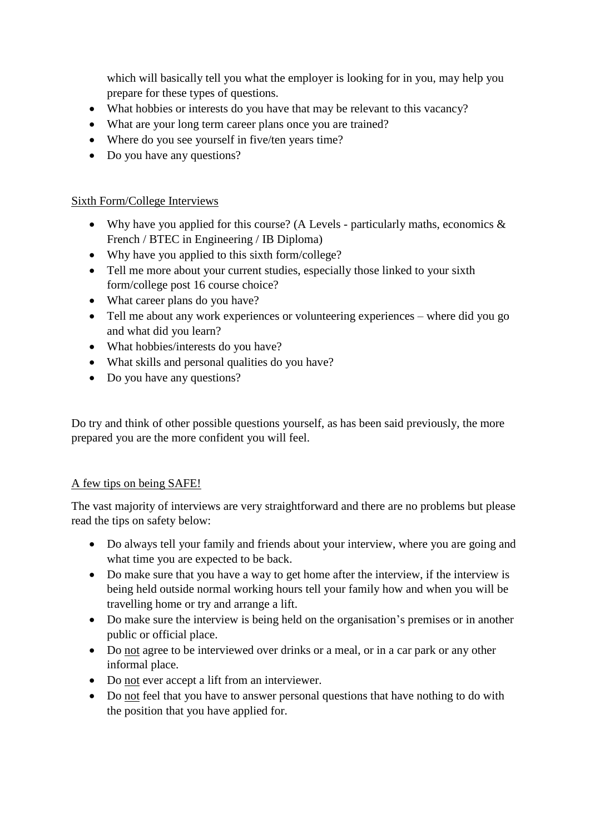which will basically tell you what the employer is looking for in you, may help you prepare for these types of questions.

- What hobbies or interests do you have that may be relevant to this vacancy?
- What are your long term career plans once you are trained?
- Where do you see yourself in five/ten years time?
- Do you have any questions?

#### Sixth Form/College Interviews

- Why have you applied for this course? (A Levels particularly maths, economics & French / BTEC in Engineering / IB Diploma)
- Why have you applied to this sixth form/college?
- Tell me more about your current studies, especially those linked to your sixth form/college post 16 course choice?
- What career plans do you have?
- Tell me about any work experiences or volunteering experiences where did you go and what did you learn?
- What hobbies/interests do you have?
- What skills and personal qualities do you have?
- Do you have any questions?

Do try and think of other possible questions yourself, as has been said previously, the more prepared you are the more confident you will feel.

#### A few tips on being SAFE!

The vast majority of interviews are very straightforward and there are no problems but please read the tips on safety below:

- Do always tell your family and friends about your interview, where you are going and what time you are expected to be back.
- Do make sure that you have a way to get home after the interview, if the interview is being held outside normal working hours tell your family how and when you will be travelling home or try and arrange a lift.
- Do make sure the interview is being held on the organisation's premises or in another public or official place.
- Do not agree to be interviewed over drinks or a meal, or in a car park or any other informal place.
- Do not ever accept a lift from an interviewer.
- Do not feel that you have to answer personal questions that have nothing to do with the position that you have applied for.